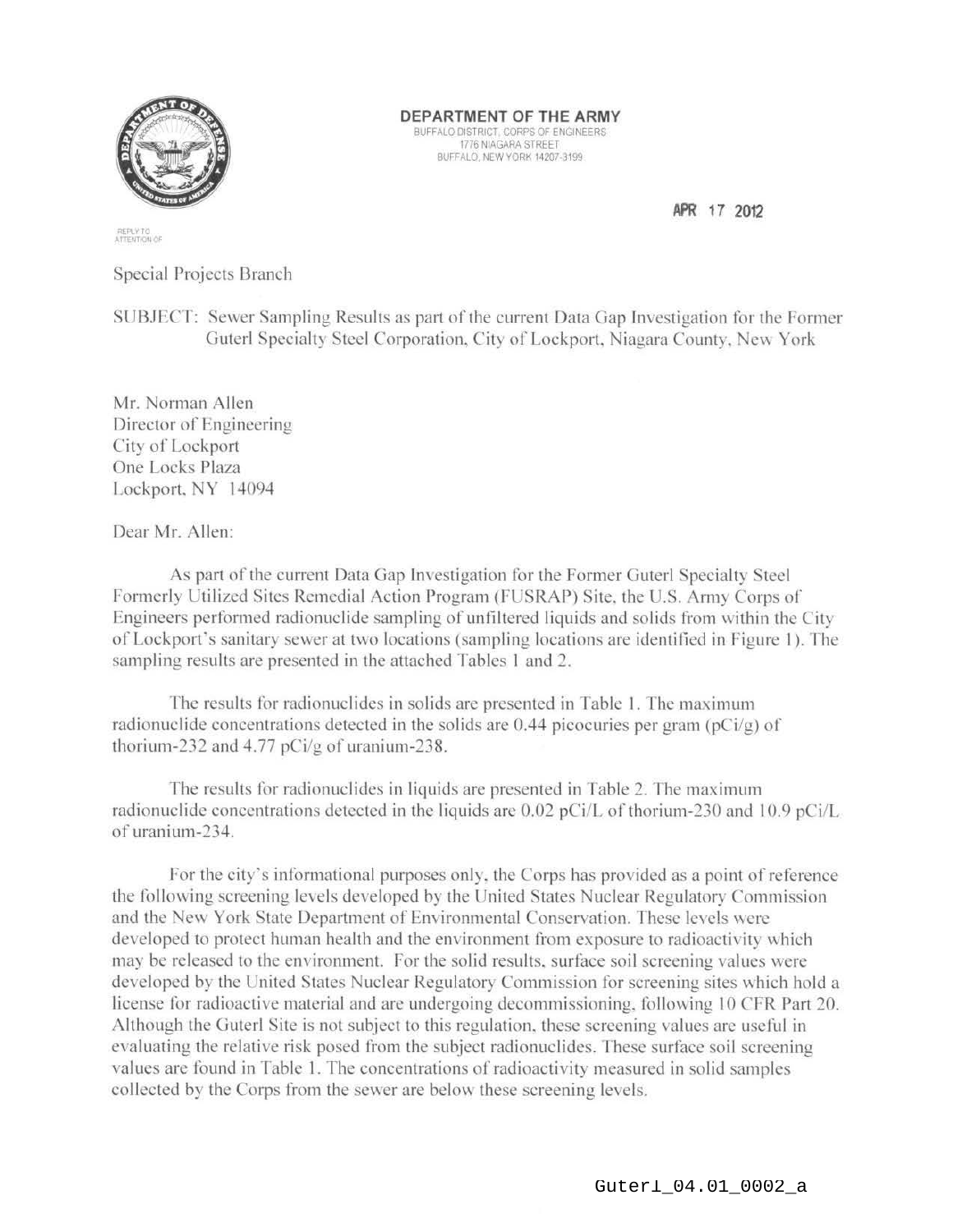

DEPARTMENT OF THE ARMY

BUFFALO DISTRICT, CORPS OF ENGINEERS 1776 NIAGARA STREET BUFFALO, NEW YORK 14207-3199

REPLY TO<br>ATTENTION OF

Special Projects Branch

SUBJECT: Sewer Sampling Results as part of the current Data Gap Investigation for the Former Guterl Specialty Steel Corporation, City of Lockport, Niagara County, New York

Mr. Norman Allen Director of Engineering City of Lockport One Locks Plaza Lockport, NY 14094

Dear Mr. Allen:

As part of the current Data Gap Investigation for the Former Guterl Specialty Steel Formerly Utilized Sites Remedial Action Program (FUSRAP) Site, the U.S. Army Corps of Engineers performed radionuclide sampling of unfiltered liquids and solids from within the City of Lockport's sanitary sewer at two locations (sampling locations are identified in Figure 1). The sampling results are presented in the attached Tables 1 and 2.

The results for radionuclides in solids are presented in Table 1. The maximum radionuclide concentrations detected in the solids are 0.44 picocuries per gram ( $pCi/g$ ) of thorium-232 and 4.77 pCi/g of uranium-238.

The results for radionuclides in liquids are presented in Table 2. The maximum radionuclide concentrations detected in the liquids are 0.02 pCi/L of thorium-230 and 10.9 pCi/L of uranium-234.

For the city's informational purposes only, the Corps has provided as a point of reference the following screening levels developed by the United States Nuclear Regulatory Commission and the New York State Department of Environmental Conservation. These levels were developed to protect human health and the environment from exposure to radioactivity which may be released to the environment. For the solid results, surface soil screening values were developed by the United States Nuclear Regulatory Commission for screening sites which hold a license for radioactive material and are undergoing decommissioning, following 10 CFR Part 20. Although the Guterl Site is not subject to this regulation, these screening values are useful in evaluating the relative risk posed from the subject radionuclides. These surface soil screening values are found in Table 1. The concentrations of radioactivity measured in solid samples collected by the Corps from the sewer are below these screening levels.

APR 17 2012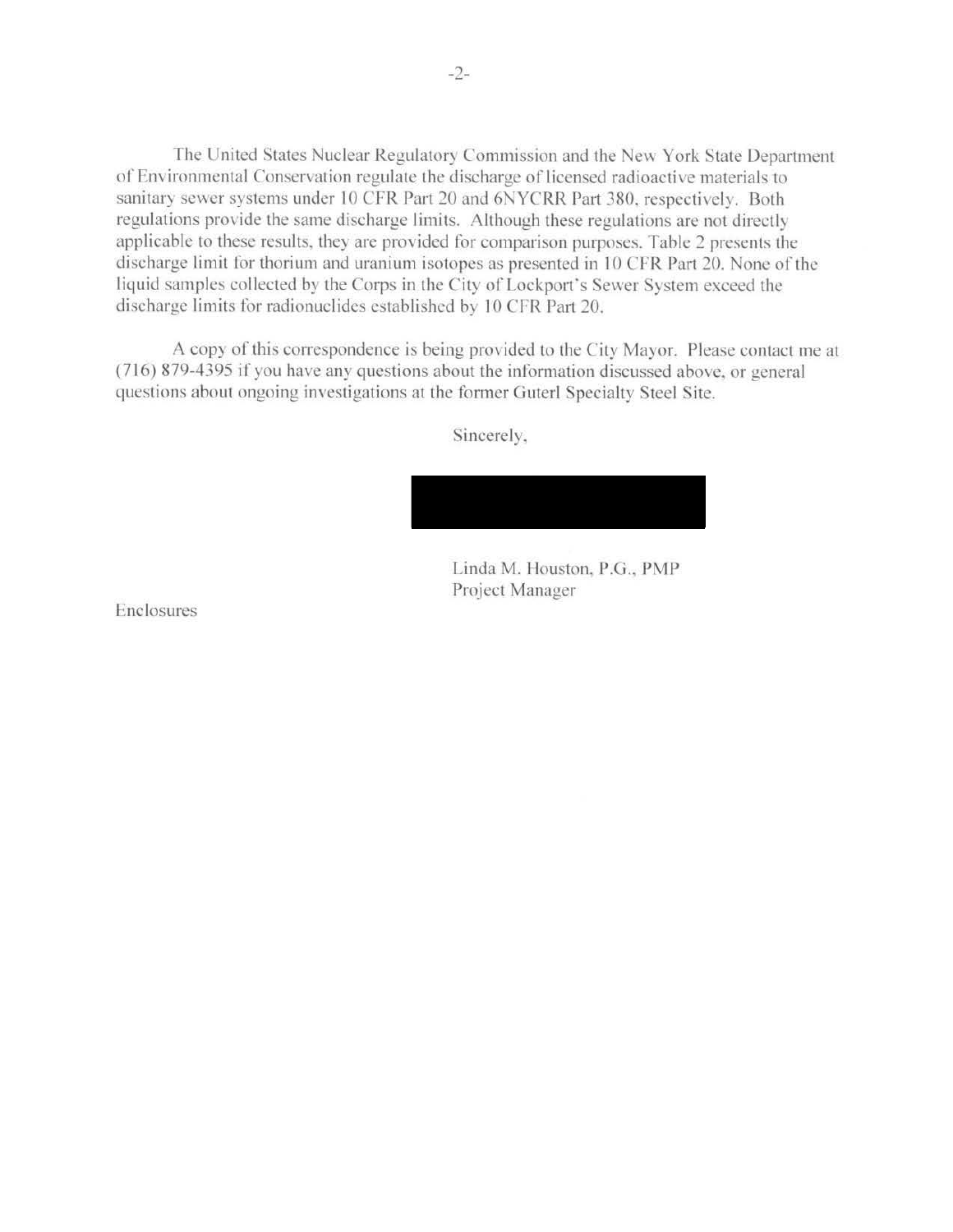The United States Nuclear Regulatory Commission and the New York State Department of Environmental Conservation regulate the discharge of licensed radioactive materials to sanitary sewer systems under 10 CFR Part 20 and 6NYCRR Part 380, respectively. Both regulations provide the same discharge limits. Although these regulations are not directly applicable to these results, they are provided for comparison purposes. Table 2 presents the discharge limit for thorium and uranium isotopes as presented in 10 CFR Part 20. None of the liquid samples collected by the Corps in the City of Lockport's Sewer System exceed the discharge limits for radionuclides established by 10 CFR Part 20.

A copy of this correspondence is being provided to the City Mayor. Please contact me at (716) 879-4395 if you have any questions about the information discussed above, or general questions about ongoing investigations at the former Guterl Specialty Steel Site.

Sincerely,

Linda M. Houston, P.G., PMP Project Manager

Enclosures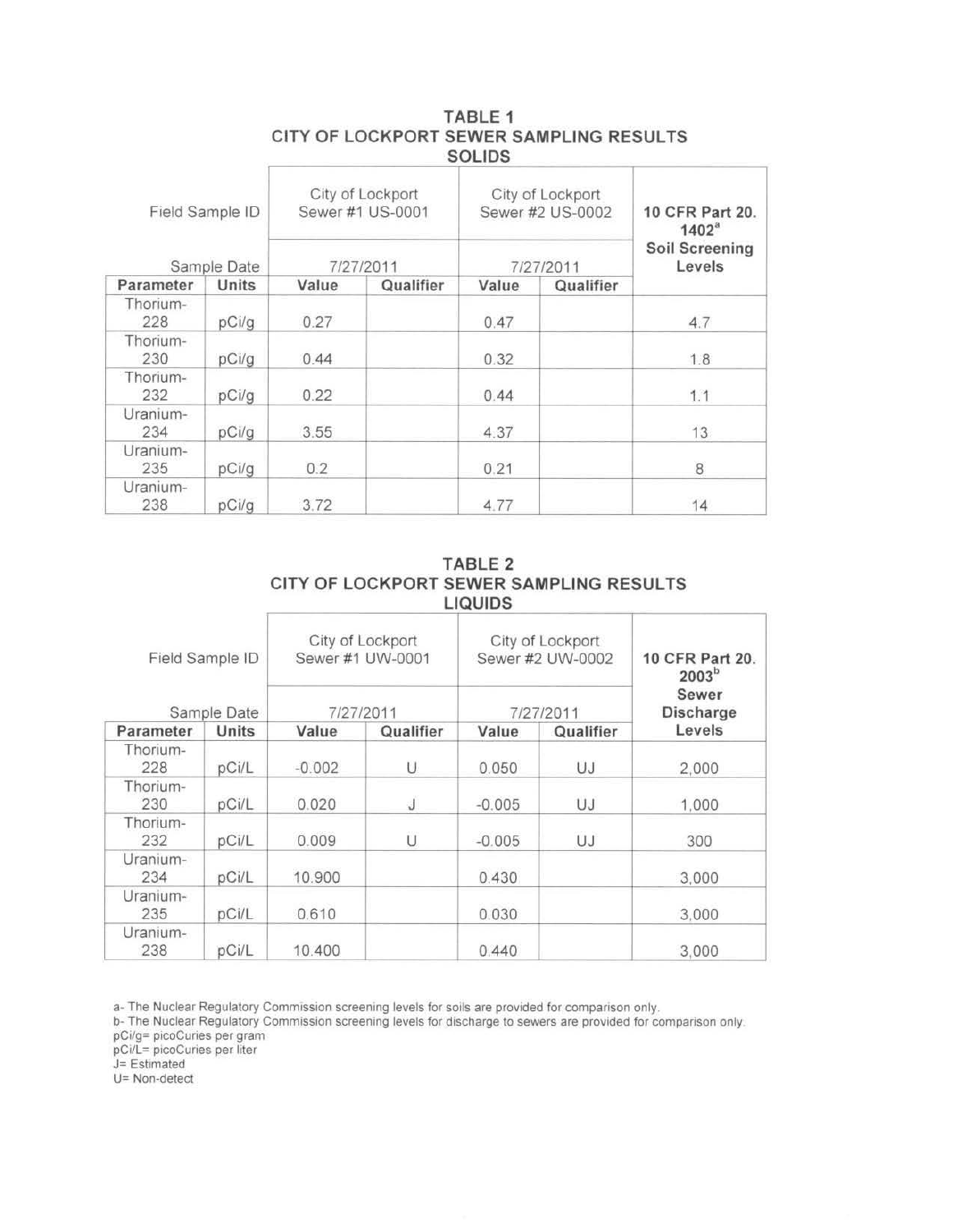| Field Sample ID<br>Sample Date |       | City of Lockport<br>Sewer #1 US-0001<br>7/27/2011 |           | City of Lockport<br>Sewer #2 US-0002<br>7/27/2011 |           | 10 CFR Part 20.<br>1402 <sup>a</sup><br><b>Soil Screening</b><br>Levels |  |
|--------------------------------|-------|---------------------------------------------------|-----------|---------------------------------------------------|-----------|-------------------------------------------------------------------------|--|
| Parameter                      | Units | Value                                             | Qualifier | Value                                             | Qualifier |                                                                         |  |
| Thorium-<br>228                | pCi/g | 0.27                                              |           | 0.47                                              |           | 4.7                                                                     |  |
| Thorium-<br>230                | pCi/g | 0.44                                              |           | 0.32                                              |           | 1.8                                                                     |  |
| Thorium-<br>232                | pCi/g | 0.22                                              |           | 0.44                                              |           | 1.1                                                                     |  |
| Uranium-<br>234                | pCi/q | 3.55                                              |           | 4.37                                              |           | 13                                                                      |  |
| Uranium-<br>235                | pCi/g | 0.2                                               |           | 0.21                                              |           | 8                                                                       |  |
| Uranium-<br>238                | pCi/g | 3.72                                              |           | 4.77                                              |           | 14                                                                      |  |

## TABLE 1 CITY OF LOCKPORT SEWER SAMPLING RESULTS SOLIDS

|  | TABLE 2                                 |
|--|-----------------------------------------|
|  | CITY OF LOCKPORT SEWER SAMPLING RESULTS |
|  | <b>LIQUIDS</b>                          |

| Field Sample ID<br>Sample Date |       | City of Lockport<br>Sewer #1 UW-0001<br>7/27/2011 |           | City of Lockport<br>Sewer #2 UW-0002<br>7/27/2011 |           | 10 CFR Part 20.<br>2003 <sup>b</sup><br>Sewer<br>Discharge |
|--------------------------------|-------|---------------------------------------------------|-----------|---------------------------------------------------|-----------|------------------------------------------------------------|
| Parameter                      | Units | Value                                             | Qualifier | Value                                             | Qualifier | Levels                                                     |
| Thorium-<br>228                | pCi/L | $-0.002$                                          | U         | 0.050                                             | UJ        | 2,000                                                      |
| Thorium-<br>230                | pCi/L | 0.020                                             | J         | $-0.005$                                          | UJ        | 1.000                                                      |
| Thorium-<br>232                | pCi/L | 0.009                                             | U         | $-0.005$                                          | UJ        | 300                                                        |
| Uranium-<br>234                | pCi/L | 10.900                                            |           | 0.430                                             |           | 3,000                                                      |
| Uranium-<br>235                | pCi/L | 0.610                                             |           | 0.030                                             |           | 3,000                                                      |
| Uranium-<br>238                | pCi/L | 10.400                                            |           | 0.440                                             |           | 3,000                                                      |

a- The Nuclear Regulatory Commission screening levels for soils are provided for comparison only.

b- The Nuclear Regulatory Commission screening levels for discharge to sewers are provided for comparison only.

pCi/g= picoCuries per gram

pCi/L= picoCuries per liter

J= Estimated

U= Non-detect